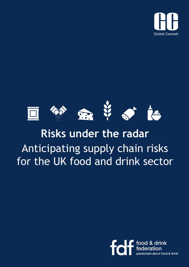



# **Risks under the radar** Anticipating supply chain risks for the UK food and drink sector

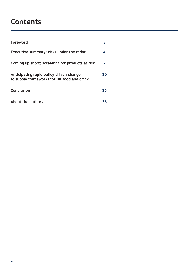# **Contents**

| Foreword                                                                              |    |
|---------------------------------------------------------------------------------------|----|
| Executive summary: risks under the radar                                              | 4  |
| Coming up short: screening for products at risk                                       | 7  |
| Anticipating rapid policy driven change<br>to supply frameworks for UK food and drink | 20 |
| Conclusion                                                                            | 25 |
| About the authors                                                                     |    |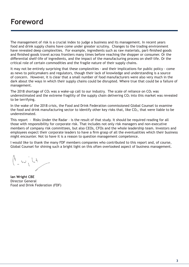# **Foreword**

The management of risk is a crucial index to judge a business and its management. In recent years food and drink supply chains have come under greater scrutiny. Changes to the trading environment have revealed deep complexities. For example, ingredients such as raw materials, part-finished goods and finished goods travel across frontiers many times before reaching the shopper or consumer. Or the differential shelf-life of ingredients, and the impact of the manufacturing process on shelf-life. Or the critical role of certain commodities and the fragile nature of their supply chains.

It may not be entirely surprising that these complexities - and their implications for public policy - come as news to policymakers and regulators, though their lack of knowledge and understanding is a source of concern. However, it is clear that a small number of food manufacturers were also very much in the dark about the ways in which their supply chains could be disrupted. Where true that could be a failure of management.

The 2018 shortage of  $CO<sub>2</sub>$  was a wake-up call to our industry. The scale of reliance on  $CO<sub>2</sub>$  was underestimated and the extreme fragility of the supply chain delivering  $CO<sub>2</sub>$  into this market was revealed to be terrifying.

In the wake of the 2018 crisis, the Food and Drink Federation commissioned Global Counsel to examine the food and drink manufacturing sector to identify other key risks that, like  $CO<sub>2</sub>$ , that were liable to be underestimated.

This report - Risks Under the Radar – is the result of that study. It should be required reading for all those with responsibility for corporate risk. That includes not only risk managers and non-executive members of company risk committees, but also CEOs, CFOs and the whole leadership team. Investors and employees expect their corporate leaders to have a firm grasp of all the eventualities which their business might encounter. Not to have it is a reason to question management competence.

I would like to thank the many FDF members companies who contributed to this report and, of course, Global Counsel for shining such a bright light on this often overlooked aspect of business management.

 $\begin{pmatrix} 1 & 1 & 1 \\ 1 & 1 & 1 \\ 1 & 1 & 1 \end{pmatrix}$ 

**Ian Wright CBE** Director General Food and Drink Federation (FDF)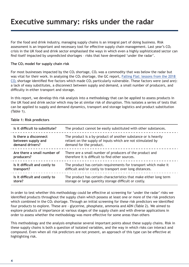# **Executive summary: risks under the radar**

For the food and drink industry, managing supply chains is an integral part of doing business. Risk assessment is an important and necessary tool for effective supply chain management. Last year's  $CO<sub>2</sub>$ crisis in the UK food and drink sector emphasised the ways in which even a highly sophisticated sector can find itself impacted by unpredicted shortages – risks that have developed 'under the radar'.

#### **The CO2 model for supply chain risk**

For most businesses impacted by the  $CO<sub>2</sub>$  shortage,  $CO<sub>2</sub>$  was a commodity that was below the radar but was vital for their work. In analysing the  $CO<sub>2</sub>$  shortage, the GC report, Falling Flat: lessons from the 2018  $CO<sub>2</sub>$  shortage identified five factors which made  $CO<sub>2</sub>$  particularly vulnerable. These factors were (and are): a lack of easy substitutes, a disconnect between supply and demand, a small number of producers, and difficulty in either transport and storage.

In this report, we develop this risk analysis into a methodology that can be applied to assess products in the UK food and drink sector which may be at similar risk of disruption. This isolates a series of tests that can be applied to supply and demand dynamics, transport and storage logistics and product substitution (Table 1).

| Is it difficult to substitute? | The product cannot be easily substituted with other substances.    |
|--------------------------------|--------------------------------------------------------------------|
| Is there a disconnect          | The product is a by-product of another substance or is heavily     |
| between supply and             | reliant on the supply of inputs which are not stimulated by        |
| demand drivers?                | demand for the product.                                            |
| Are there a small number of    | There are a small number of producers of the product and           |
| producers?                     | therefore it is difficult to find other sources.                   |
| Is it difficult and costly to  | The product has certain requirements for transport which make it   |
| transport?                     | difficult and/or costly to transport over long distances.          |
| Is it difficult and costly to  | The product has certain characteristics that make either long term |
| store?                         | storage or large quantity storage difficult or costly.             |

#### **Table 1: Risk predictors**

In order to test whether this methodology could be effective at screening for 'under the radar' risks we identified products throughout the supply chain which possess at least one or more of the risk predictors which combined in the CO<sub>2</sub> shortage. Through an initial screening for these risk predictors we identified four products to explore. These are - glycerine, phosphate, ammonia and ADN (Table 2). We aimed to explore products of importance at various stages of the supply chain and with diverse applications in order to assess whether the methodology was more effective for some areas than others

This methodology and the analysis emphasise several important points about these supply chains. Risk in these supply chains is both a question of isolated variables, and the way in which risks can interact and compound. Even when all risk predictors are not present, an approach of this type can be effective at highlighting risk.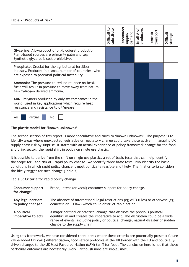|                                                                                                                                                                        | Difficult to<br>substitute | ರ<br>Disconn<br>deman<br><b>Alddns</b> | Small # of<br>producers | ranspor<br><b>Difficult</b> | Difficult<br>storage |
|------------------------------------------------------------------------------------------------------------------------------------------------------------------------|----------------------------|----------------------------------------|-------------------------|-----------------------------|----------------------|
| Glycerine: A by-product of oil/biodiesel production.<br>Plant-based sources are primarily palm and soy.<br>Synthetic glycerol is cost prohibitive.                     |                            |                                        |                         |                             |                      |
| <b>Phosphate:</b> Crucial for the agricultural fertiliser<br>industry. Produced in a small number of countries, who<br>are exposed to potential political instability. |                            |                                        |                         |                             |                      |
| Ammonia: The pressure to reduce reliance on fossil<br>fuels will result in pressure to move away from natural<br>gas/hydrogen derived ammonia.                         |                            |                                        |                         |                             |                      |
| ADN: Polymers produced by only six companies in the<br>world, used in key applications which require heat<br>resistance and resistance to oil/grease.                  |                            |                                        |                         |                             |                      |

Yes **Partial** No

#### **The plastic model for 'known unknowns'**

The second section of this report is more speculative and turns to 'known unknowns'. The purpose is to identify areas where unexpected legislative or regulatory change could take those active in managing UK supply chain risk by surprise. It starts with an actual experience of policy framework change for the food and drink sector: the rapid shift in policy on single use plastic.

It is possible to derive from the shift on single use plastics a set of basic tests that can help identify the scope for – and risk of - rapid policy change. We identify three basic tests. Two identify the basic conditions in which rapid policy change is most politically feasible and likely. The final criteria considers the likely trigger for such change (Table 3).

#### **Table 3: Criteria for rapid policy change**

| <b>Consumer support</b><br>for change?  | Broad, latent (or vocal) consumer support for policy change.                                                                                                                                                                                                                    |
|-----------------------------------------|---------------------------------------------------------------------------------------------------------------------------------------------------------------------------------------------------------------------------------------------------------------------------------|
| Any legal barriers<br>to policy change? | The absence of international legal restrictions (eg WTO rules) or otherwise (eg<br>domestic or EU law) which could obstruct rapid action.                                                                                                                                       |
| A political<br>imperative to act?       | A major political or practical change that disrupts the previous political<br>equilibrium and creates the imperative to act. The disruption could be a wide<br>range of events, including policy or political change, natural disaster or sudden<br>change to the supply chain. |

Using this framework, we have considered three areas where these criteria are potentially present: future value-added tax (VAT) differentiation, food safety protocols at the UK border with the EU and politicallydriven changes to the UK Most Favoured Nation (MFN) tariff for food. The conclusion here is not that these particular outcomes are necessarily likely – although none are implausible.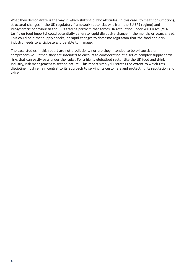What they demonstrate is the way in which shifting public attitudes (in this case, to meat consumption), structural changes in the UK regulatory framework (potential exit from the EU SPS regime) and idiosyncratic behaviour in the UK's trading partners that forces UK retaliation under WTO rules (MFN tariffs on food imports) could potentially generate rapid disruptive change in the months or years ahead. This could be either supply shocks, or rapid changes to domestic regulation that the food and drink industry needs to anticipate and be able to manage.

The case studies in this report are not predictions, nor are they intended to be exhaustive or comprehensive. Rather, they are intended to encourage consideration of a set of complex supply chain risks that can easily pass under the radar. For a highly globalised sector like the UK food and drink industry, risk management is second nature. This report simply illustrates the extent to which this discipline must remain central to its approach to serving its customers and protecting its reputation and value.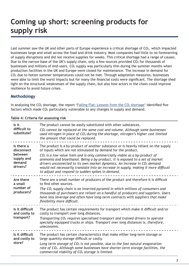# **Coming up short: screening products for supply risk**

Last summer saw the UK and other parts of Europe experience a critical shortage of  $CO<sub>2</sub>$ , which impacted businesses large and small across the food and drink industry. Most companies had little to no forewarning of supply disruptions and did not receive supplies for weeks. This critical shortage had a range of causes. Due to the narrow base of the UK's supply chain, only a few sources provided  $CO<sub>2</sub>$  for thousands of businesses and millions of end-users.  $CO<sub>2</sub>$  supply was particularly thin during the summer months when production facilities in the UK and Europe were closed for maintenance. The increase in demand for  $CO<sub>2</sub>$  due to hotter summer temperatures could not be met. Through adaptation measures, businesses were able to limit the worst impacts but for many the financial costs were significant. The shortage shed light on the structural weaknesses of the supply chain, but also how actors in the chain could improve resilience to avoid future crises.

# **Methodology**

In analysing the  $CO<sub>2</sub>$  shortage, the report 'Falling Flat: Lessons from the  $CO<sub>2</sub>$  shortage' identified five factors which made  $CO<sub>2</sub>$  particularly vulnerable to any changes in supply and demand.

| Is it<br>difficult to<br>substitute?                                    | The product cannot be easily substituted with other substances.<br>$CO2$ cannot be replaced at the same cost and volume. Although some businesses<br>used nitrogen in place of CO <sub>2</sub> during the shortage, nitrogen's higher cost limited<br>the amount that could be replaced.                                                                                                                                                                                                                                                          |
|-------------------------------------------------------------------------|---------------------------------------------------------------------------------------------------------------------------------------------------------------------------------------------------------------------------------------------------------------------------------------------------------------------------------------------------------------------------------------------------------------------------------------------------------------------------------------------------------------------------------------------------|
| Is there a<br>disconnect<br>between<br>supply and<br>demand<br>drivers? | The product is a by-product of another substance or is heavily reliant on the supply<br>of inputs which are not stimulated by demand for the product.<br>$CO2$ is a low value item and is only commercially viable as a by-product of<br>ammonia and bioethanol. Being a by-product, it is exposed to a set of market<br>drivers unconnected to its own market dynamics. An increase in $CO2$ demand<br>would not necessarily translate into an increase in supply, making it more difficult<br>to adjust and respond to sudden spikes in demand. |
| Are there<br>a small<br>number of<br>producers?                         | There are a small number of producers of the product and therefore it is difficult<br>to find other sources.<br>The $CO2$ supply chain is an inverted pyramid in which millions of consumers and<br>thousands of purchasers are reliant on a handful of producers and suppliers. Users<br>have less leverage and often have long-term contracts with suppliers that make<br>flexibility more difficult.                                                                                                                                           |
| Is it difficult<br>and costly to<br>transport?                          | The product has certain requirements for transport which make it difficult and/or<br>costly to transport over long distances.<br>Transporting $CO2$ requires specialised transport and trained drivers to operate<br>specially equipped trucks or ships. Transport over long distances is, therefore,<br>uneconomic.                                                                                                                                                                                                                              |
| Is it difficult<br>and costly to<br>store?                              | The product has certain characteristics that make either long-term storage or<br>large quantity storage difficult or costly.<br>Long term storage of $CO2$ is not possible, due to the fast natural evaporation<br>rate of CO <sub>2</sub> . Although some businesses have shorter-term storage facilities, the<br>commercial viability of CO <sub>2</sub> storage is limited.                                                                                                                                                                    |

#### **Table 4: Criteria for assessing risk**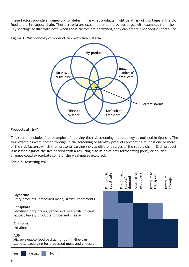These factors provide a framework for determining what products might be at risk of shortages in the UK food and drink supply chain. These criteria are explained on the previous page, with examples from the CO2 shortage to illustrate how, when these factors are combined, they can create enhanced vulnerability.





#### **Products at risk?**

This section includes four examples of applying the risk screening methodology as outlined in figure 1. The four examples were chosen through initial screening to identify products presenting at least one or more of the risk factors, which then presents varying risks at different stages of the supply chain. Each product is assessed against the five criteria with a resulting discussion of how forthcoming policy or political changes could exacerbate some of the weaknesses explored.

#### **Table 5: Assessing risk**

|                                                                                                                  | S,<br>substitute<br><b>Difficult</b> | Disconnect<br>demand<br>//lddns | ځ<br>producers<br>#<br>Small | S,<br>transport<br><b>Difficult</b> | <b>Difficult</b><br>storage |
|------------------------------------------------------------------------------------------------------------------|--------------------------------------|---------------------------------|------------------------------|-------------------------------------|-----------------------------|
| Glycerine<br>Dairy products, processed meat, grains, condiments                                                  |                                      |                                 |                              |                                     |                             |
| Phosphate<br>Fertiliser, fizzy drinks, processed meat/fish, instant<br>sauces, bakery products, processed cheese |                                      |                                 |                              |                                     |                             |
| Ammonia<br>Fertiliser                                                                                            |                                      |                                 |                              |                                     |                             |
| <b>ADN</b><br>Microwaveable food packaging, boil-in-the-bag<br>sachets, packaging for processed meat and cheeses |                                      |                                 |                              |                                     |                             |

Yes **Partial** No | |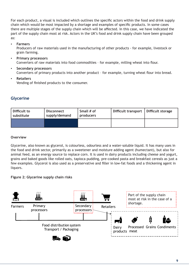For each product, a visual is included which outlines the specific actors within the food and drink supply chain which would be most impacted by a shortage and examples of specific products. In some cases there are multiple stages of the supply chain which will be affected. In this case, we have indicated the part of the supply chain most at risk. Actors in the UK's food and drink supply chain have been grouped as:

- **Farmers** Producers of raw materials used in the manufacturing of other products - for example, livestock or grain farming.
- **Primary processors** Converters of raw materials into food commodities – for example, milling wheat into flour.
- **Secondary processors** Converters of primary products into another product – for example, turning wheat flour into bread.
- **Retailers** Vending of finished products to the consumer.

# **Glycerine**

| l Difficult to<br>substitute | <b>Disconnect</b><br>supply/demand | Small # of<br>producers | Difficult transport   Difficult storage |  |
|------------------------------|------------------------------------|-------------------------|-----------------------------------------|--|
|                              |                                    |                         |                                         |  |

#### **Overview**

Glycerine, also known as glycerol, is colourless, odourless and a water-soluble liquid. It has many uses in the food and drink sector, primarily as a sweetener and moisture adding agent (humectant), but also for animal feed, as an energy source to replace corn. It is used in dairy products including cheese and yogurt, grains and baked goods like rolled oats, tapioca pudding, pre-cooked pasta and breakfast cereals as just a few examples. Glycerol is also used as a preservative and filler in low-fat foods and a thickening agent in liquors.

# **Figure 2: Glycerine supply chain risks**

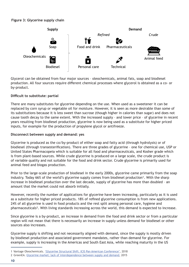# **Figure 3: Glycerine supply chain**



Glycerol can be obtained from four major sources – oleochemicals, animal fats, soap and biodiesel production. All four sources require different chemical processes where glycerol is obtained as a co- or by-product.

# **Difficult to substitute: partial**

There are many substitutes for glycerine depending on the use. When used as a sweetener it can be replaced by corn syrup or vegetable oil for moisture. However, it is seen as more desirable than some of its substitutions because it is less sweet than sucrose (though higher in calories than sugar) and does not cause tooth decay to the same extent. With the increased supply – and lower price – of glycerine in recent years resulting from biodiesel production, glycerine is now being used as a substitute for higher priced inputs, for example for the production of propylene glycol or antifreeze.

# **Disconnect between supply and demand: yes**

Glycerine is produced as the co/by-product of either soap and fatty acid (through hydrolysis) or of biodiesel (through transesterification). There are three grades of glycerine – one for chemical use, USP or United States Pharmacopeia which is suitable for all food and pharmaceuticals, and Kosher grade which is from plant-based sources. While crude glycerine is produced on a large scale, the crude product is of variable quality and not suitable for the food and drink sector. Crude glycerine is primarily used for animal feed and biogas production.

Prior to the large-scale production of biodiesel in the early 2000s, glycerine came primarily from the soap industry. Today 66% of the world's glycerine supply comes from biodiesel production<sup>1</sup>. With the sharp increase in biodiesel production over the last decade, supply of glycerine has more than doubled – an amount that the market could not absorb initially.

However, recently the number of applications for glycerine have been increasing, particularly as it is used as a substitute for higher priced products. 18% of refined glycerine consumption is from new applications. 24% of all glycerine is used in food products and the rest split among personal care, hygiene and pharmaceuticals<sup>2</sup>. With living standards increasing across the world, this demand is expected to increase.

Since glycerine is a by-product, an increase in demand from the food and drink sector or from a particular region will not mean that there is necessarily an increase in supply unless demand for biodiesel or other sources also increases.

Glycerine supply is shifting and not necessarily aligned with demand, since the supply is mostly driven by biodiesel production and associated government mandates, rather than demand for glycerine. For example, supply is increasing in the Americas and South East Asia, while reaching maturity in the US

<sup>1</sup> Vantage Oleochemicals. 'Glycerine Structural Shift. ICIS Pan American Conference', 2018

<sup>2</sup> GreenEA. Glycerine market: lack of interdependence between supply and demand, 2015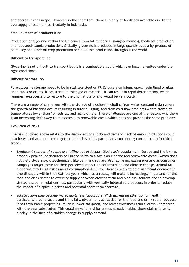and decreasing in Europe. However, in the short term there is plenty of feedstock available due to the oversupply of palm oil, particularly in Indonesia.

#### **Small number of producers: no**

Production of glycerine within the UK comes from fat rendering (slaughterhouses), biodiesel production and rapeseed/canola production. Globally, glycerine is produced in large quantities as a by-product of palm, soy and other oil crop production and biodiesel production throughout the world.

#### **Difficult to transport: no**

Glycerine is not difficult to transport but it is a combustible liquid which can become ignited under the right conditions.

#### **Difficult to store: no**

Pure glycerine storage needs to be in stainless steel or 99.5% pure aluminium, epoxy resin lined or glass lined tanks or drums. If not stored in this type of material, it can result in rapid deterioration, which requires re-processing to restore to the original purity and would be very costly.

There are a range of challenges with the storage of biodiesel including from water contamination where the growth of bacteria occurs resulting in filter plugging, and from cold flow problems where stored at temperatures lower than 10° celsius, and many others. These challenges are one of the reasons why there is an increasing shift away from biodiesel to renewable diesel which does not present the same problems.

#### **Evolution of risks**

The risks outlined above relate to the disconnect of supply and demand, lack of easy substitutions could also be exacerbated or come together at a crisis point, particularly considering current policy/political trends.

- *Significant sources of supply are falling out of favour*. Biodiesel's popularity in Europe and the UK has probably peaked, particularly as Europe shifts to a focus on electric and renewable diesel (which does not yield glycerine). Oleochemicals like palm and soy are also facing increasing pressure as consumer campaigns target these for their perceived impact on deforestation and climate change. Animal fat rendering may be at risk as meat consumption declines. There is likely to be a significant decrease in overall supply within the next few years which, as a result, will make it increasingly important for the food and drink sector to diversify supply between oleochemical and biodiesel sources and to develop strategic supplier relationships, particularly with vertically integrated producers in order to reduce the impact of a spike in prices and potential short-term shortage.
- Substitutions may become increasingly less favourable. With increasing attention on health, particularly around sugars and trans fats, glycerine is attractive for the food and drink sector because it has favourable properties – filler in lower-fat goods, and lower sweetness than sucrose - compared with the easy substitutes. This could make it hard for brands already making these claims to switch quickly in the face of a sudden change in supply/demand.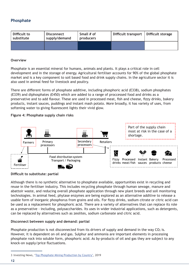# **Phosphate**

| Difficult to<br>substitute | <b>Disconnect</b><br>supply/demand | Small # of<br>producers | Difficult transport   Difficult storage |  |
|----------------------------|------------------------------------|-------------------------|-----------------------------------------|--|
|                            |                                    |                         |                                         |  |

#### **Overview**

Phosphate is an essential mineral for humans, animals and plants. It plays a critical role in cell development and in the storage of energy. Agricultural fertiliser accounts for 90% of the global phosphate market and is a key component to soil based food and drink supply chains. In the agriculture sector it is also used in animal feed for livestock and poultry.

There are different forms of phosphate additive, including phosphoric acid (E338), sodium phosphates (E339) and diphosphates (E450) which are added to a range of proccessed food and drinks as a preservative and to add flavour. These are used in processed meat, fish and cheese, fizzy drinks, bakery products, instant sauces, puddings and instant mash potato. More broadly, it has variety of uses, from softening water to giving fluorescent lights their vivid glow.

#### **Figure 4: Phosphate supply chain risks**



#### **Difficult to substitute: partial**

Although there is no synthetic alternative to phosphate available, opportunities exist in recycling and reuse in the fertiliser industry. This includes recycling phosphate through human sewage, manure and abattoir waste, and reducing overall phosphate application through new plant breeds and soil monitoring technologies. In animal feed, phytase enzymes are being explored as an alternative additive to release a usable form of inorganic phosphorus from grains and oils. For fizzy drinks, sodium citrate or citric acid can be used as a replacement for phosphoric acid. There are a variety of alternatives that can replace its role as a preservative - including, polysaccharides. Its uses in wider industrial applications, such as detergents, can be replaced by alternatives such as zeolites, sodium carbonate and citric acid.

#### **Disconnect between supply and demand: partial**

Phosphate production is not disconnected from its drivers of supply and demand in the way  $CO<sub>2</sub>$  is. However, it is dependent on oil and gas. Sulphur and ammonia are important elements in processing phosphate rock into soluble form, phosphoric acid. As by-products of oil and gas they are subject to any knock-on supply/price fluctuations.

**12**

<sup>3</sup> Investing News, 'Top Phosphate Mining Production by Country', 2019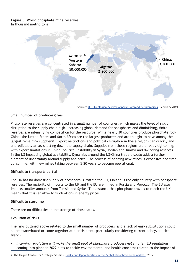#### **Figure 5: World phosphate mine reserves**  In thousand metric tons



Source: U.S. Geological Survey, Mineral Commodity Summaries, February 2019

#### **Small number of producers: yes**

Phosphate reserves are concentrated in a small number of countries, which makes the level of risk of disruption to the supply chain high. Increasing global demand for phosphates and diminishing, finite reserves are intensifying competition for the resource. While nearly 30 countries produce phosphate rock, China, the United States and North Africa are the largest producers and are thought to have among the largest remaining suppliers<sup>3</sup>. Export restrictions and political disruption in these regions can quickly and unpredictably arise, shutting down the supply chain. Supplies from these regions are already tightening, with export limitations in China, political instability in Syria, Jordan and Tunisia and dwindling reserves in the US impacting global availability. Dynamics around the US-China trade dispute adds a further element of uncertainty around supply and price. The process of opening new mines is expensive and timeconsuming, with new mines taking between 5–20 years to become operational.

#### **Difficult to transport: partial**

The UK has no domestic supply of phosphorous. Within the EU, Finland is the only country with phosphate reserves. The majority of imports to the UK and the EU are mined in Russia and Morocco. The EU also imports smaller amounts from Tunisia and Syria<sup>4</sup>. The distance that phosphate travels to reach the UK means that it is sensitive to fluctuations in energy prices.

#### **Difficult to store: no**

There are no difficulties in the storage of phosphates.

#### **Evolution of risks**

The risks outlined above related to the small number of producers and a lack of easy substitutions could all be exacerbated or come together at a crisis point, particularly considering current policy/political trends.

- Incoming regulation will make the small pool of phosphate producers get smaller. EU regulation coming into place in 2022 aims to tackle environmental and health concerns related to the impact of
- 4 The Hague Centre for Strategic Studies, 'Risks and Opportunities in the Global Phosphate Rock Market', 2012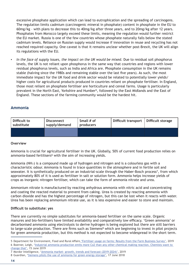excessive phosphate application which can lead to eutrophication and the spreading of carcinogens. The regulation limits cadmium (carcinogenic mineral in phosphate) content in phosphate in the EU to 60mg/kg – with plans to decrease this to 40mg/kg after three years, and to 20mg/kg after 12 years. Phosphates from Morocco largely exceed these limits, meaning the regulation would further restrict the EU market. Russia is one of the few countries whose phosphate naturally falls below the stated cadmium levels. Reliance on Russian supply would increase if innovation in reuse and recycling has not reached required capacity. One caveat is that it remains unclear whether post-Brexit, the UK will align its regulations with the EU.

In the face of supply issues, the impact on the UK would be mixed. Due to residual soil phosphorus levels, the UK is not reliant upon phosphorus in the same way that countries and regions with lower residual phosphorus levels, such as India and Africa are. Phosphate consumption in the UK remains stable (halving since the 1980s and remaining stable over the last five years). As such, the most immediate impact for the UK food and drink sector would be related to potentially lower yields/ higher costs for agricultural products produced in countries reliant on phosphate fertiliser. In England, those most reliant on phosphate fertiliser are horticulture and cereal farms. Usage is particularly prevalent in the North East, Yorkshire and Humber<sup>5</sup>, followed by the East Midlands and the East of England. These sections of the farming community would be the hardest hit.

# **Ammonia**

| Difficult to<br>substitute | Disconnect<br>supply/demand | Small # of<br>producers | Difficult transport   Difficult storage |  |
|----------------------------|-----------------------------|-------------------------|-----------------------------------------|--|
|                            |                             |                         |                                         |  |

#### **Overview**

Ammonia is crucial for agricultural fertiliser in the UK. Globally, 50% of current food production relies on ammonia-based fertilisers<sup>6</sup> with the aim of increasing yields.

Ammonia (NH₃) is a compound made up of hydrogen and nitrogen and is a colourless gas with a characteristic odour. Ammonia is found in trace quantities in the atmosphere and in fertile soil and seawater. It is synthetically produced on an industrial-scale through the Haber-Bosch process<sup>7</sup>, from which approximately 80% of it is used as fertiliser in salt or solution form. Ammonia helps increase yields of crops as inorganic nitrogen fertiliser, which can take the form of ammonia nitrate and urea.

Ammonium nitrate is manufactured by reacting anhydrous ammonia with nitric acid and concentrating and coating the reacted material to prevent from caking. Urea is created by reacting ammonia with carbon dioxide and has the highest percentage of nitrogen, but this can be lost when it reacts with water. Urea has been replacing ammonium nitrate use, as it is less expensive and easier to store and maintain.

#### **Difficult to substitute: yes**

There are currently no simple substitutes for ammonia-based fertiliser on the same scale. Organic manures and bio-fertilisers have limited availability and comparatively low efficacy. 'Green ammonia' or decarbonised ammonia using electrolysis to derive hydrogen is being explored but there are still barriers to large-scale production. There are firms such as Siemens<sup>8</sup> which are beginning to invest in pilot projects for green ammonia production, but this method is not expected to become widespread in the short term.

<sup>5</sup> Department for Environment, Food and Rural Affairs 'Fertiliser usage on farms: Results from the Farm Business Survey', 2019 6 Boerner, Leigh, 'Industrial ammonia production emits more Co2 than any other chemical making reaction. Chemists want to change that', 15 June 2019

<sup>7</sup> Mordor Intelligence, 'Ammonia market- growth, trends and forecast (2019-2024)', 2019

<sup>8</sup> Guardian, 'Siemens pilots the use of ammonia for green energy storage', 17 June 2018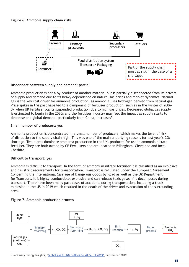#### **Figure 6: Ammonia supply chain risks**



#### **Disconnect between supply and demand: partial**

Ammonia production is not a by-product of another material but is partially disconnected from its drivers of supply and demand due to its heavy dependence on natural gas prices and market dynamics. Natural gas is the key cost driver for ammonia production, as ammonia uses hydrogen derived from natural gas. Price spikes in the past have led to a dampening of fertiliser production, such as in the winter of 2006- 07 when UK fertiliser plants suspended production due to high gas prices. Decreased global gas supply is estimated to begin in the 2030s and the fertiliser industry may feel the impact as supply starts to decrease and global demand, particularly from China, increases<sup>9</sup>.

#### **Small number of producers: yes**

Ammonia production is concentrated in a small number of producers, which makes the level of risk of disruption to the supply chain high. This was one of the main underlying reasons for last year's  $CO<sub>2</sub>$ shortage. Two plants dominate ammonia production in the UK, produced for use in ammonia nitrate fertiliser. They are both owned by CF Fertilisers and are located in Billingham, Cleveland and Ince, Cheshire.

#### **Difficult to transport: yes**

Ammonia is difficult to transport. In the form of ammonium nitrate fertiliser it is classified as an explosive and has strict requirements for transportation. Transport is regulated under the European Agreement Concerning the International Carriage of Dangerous Goods by Road as well as the UK Department for Transport. It is highly combustible, explosive and can release toxic gases if it decomposes during transport. There have been many past cases of accidents during transportation, including a truck explosion in the US in 2019 which resulted in the death of the driver and evacuation of the surrounding area.

#### **Figure 7: Ammonia production process**



9 McKinsey Energy Insights, 'Global gas & LNG outlook to 2035- H1 2019', September 2019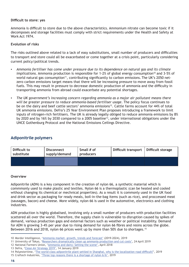#### **Difficult to store: yes**

Ammonia is difficult to store due to the above characteristics. Ammonium nitrate can become toxic if it decomposes and storage facilities must comply with strict requirements under the Health and Safety at Work Act 1974.

#### **Evolution of risks**

The risks outlined above related to a lack of easy substitutions, small number of producers and difficulties to transport and store could all be exacerbated or come together at a crisis point, particularly considering current policy/political trends.

- Ammonia fertiliser has come under pressure due to its dependence on natural gas and its climate *implications.* Ammonia production is responsible for 1-2% of global energy consumption<sup>10</sup> and 3-5% of world natural gas consumption<sup>11</sup>, contributing significantly to carbon emissions. The UK's 2050 netzero carbon emissions target means that there will be increasing pressure to move away from fossil fuels. This may result in pressure to decrease domestic production of ammonia and the difficulty in transporting ammonia from abroad could exacerbate any potential shortages.
- *The UK government's increasing concern regarding ammonia as a major air pollutant means there will be greater pressure to reduce ammonia-based fertiliser usage*. The policy focus continues to be on the dairy and beef cattle sectors' ammonia emissions<sup>12</sup>. Cattle farms account for 44% of total UK ammonia emissions. Defra's 25 Year Environment Plan proposes introducing a framework to limit inputs of nitrogen-rich fertilisers. The UK is already legally obliged to reduce ammonia emissions by 8% by 2020 and by 16% by 2030 compared to a 2005 baseline<sup>13</sup>, under international obligations under the UNCE Gothenburg Protocol and the National Emissions Ceilings Directive.

# **Adiponitrile polymers**

| Difficult to<br>substitute | <b>Disconnect</b><br>supply/demand | Small # of<br>producers | Difficult transport   Difficult storage |  |
|----------------------------|------------------------------------|-------------------------|-----------------------------------------|--|
|                            |                                    |                         |                                         |  |

#### **Overview**

Adiponitrile (ADN) is a key component in the creation of nylon 66, a synthetic material which is commmonly used to make plastic and textiles. Nylon 66 is a thermoplastic (can be heated and cooled without changing its chemical or mechnical properties). As a result it is commonly used in the UK food and drink sector as packaging for ready meals, boil-in-the-bag items (such as rice), and proccessed meat (sausages, bacon) and cheese. More widely, nylon 66 is used in the automotive, electronics and clothing industries.

ADN production is highly globalised, involving only a small number of producers with production facilities scattered all over the world. Therefore, the supply chain is vulnerable to disruption caused by spikes of demand, various production gaps and external factors such as weather or political instability. Demand for ADN is growing 3-4% per year due to rising demand for nylon 66 fibres and resins across the globe. Between 2016 and 2018, nylon 66 prices went up by more than 50% due to shortages.15

<sup>10</sup> Mordor Intelligence, 'Ammonia market- growth, trends and forecast' (2019-2024), 2019

<sup>11</sup> University of Tokyo, 'Researchers dramatically clean up ammonia production and cut costs', 24 April 2019

<sup>12</sup> National Farmers Union, 'Ammonia and dairy: Setting the scene', April 2018

<sup>13</sup> Defra, 'Clean Air Strategy 2019', 14 January 2019

<sup>14</sup> Polyestertime, 'The world-class adiponitrile plant settled in Shanghai, why is the localization road difficult?', 2019

<sup>15</sup> Craftech Industries, 'Three top reasons there is a shortage of nylon 6/6', 2019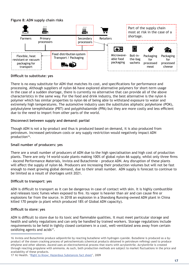#### **Figure 8: ADN supply chain risks**



#### **Difficult to substitute: yes**

There is no easy substitute for ADN that matches its cost, and specifications for performance and processing. Although suppliers of nylon 66 have explored alternative polymers for short-term usage in the case of a sudden shortage, there is currently no alternative that can provide all of the above characteristics in the same way. For the food and drink industry, the best alternative is the nylon 6 polymer which has similar properties to nylon 66 of being able to withstand exposure to water and extremely high temperatures. The automotive industry uses the substitutes aliphatic polyketone (POK), polybutylene terephthalate (PBT) and polyphthalamide (PPA) but they are more costly and less efficient due to the need to import from other parts of the world.

#### **Disconnect between supply and demand: partial**

Though ADN is not a by-product and thus is produced based on demand, it is also produced from petroleum. Increased petroleum costs or any supply restriction would negatively impact ADN production<sup>16</sup>.

#### **Small number of producers: yes**

There are a small number of producers of ADN due to the high specialisation and high cost of production plants. There are only 14 world-scale plants making 100% of global nylon 66 supply, whilst only three firms - Ascend Performance Materials, Invista and Butachimie - produce ADN. Any disruption of these plants will affect the supply of nylon 66. Producers are increasing their production volumes but will not be fast enough to meet growing global demand, due to their small number. ADN supply is forecast to continue to be limited as a result of shortages until 2021.

#### **Difficult to transport: yes**

ADN is difficult to transport as it can be dangerous in case of contact with skin. It is highly combustible and releases toxic fumes when exposed to fire. Its vapor is heavier than air and can cause fire or explosions far from the source. In 2018 an explosion in a Shandong Runxing-owned ADN plant in China killed 170 people (a plant which produced 18% of Global ADN capacity).

#### **Difficult to store: yes**

ADN is difficult to store due to its toxic and flammable qualities. It must meet particular storage and health and safety regulations and can only be handled by trained workers. Storage regulations include requirements to be held in tightly closed containers in a cool, well-ventilated area away from certain oxidizing agents and acids<sup>17</sup>.

<sup>16</sup> Invista and Butachimie produce adiponitrile by reacting butadiene with hydrogen cyanide. Butadiene is produced as a byproduct of the steam cracking process of petrochemicals (chemical products obtained in petroleum refining) used to produce ethylene and other alkenes. Ascend uses an electrochemical process that starts with acrylonitrile. Acrylonitrile is created through reacting propylene with ammonia. As such, both production methods are subject to market fluctuations in the price and availability of these products.

<sup>17</sup> NJ Health. 'Right to Know: Hazardous Substances fact sheet', 2009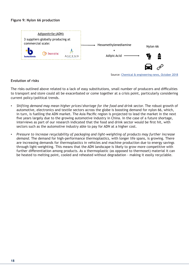#### **Figure 9: Nylon 66 production**



Source: Chemical & engineering news, October 2018

#### **Evolution of risks**

The risks outlined above related to a lack of easy substitutions, small number of producers and difficulties to transport and store could all be exacerbated or come together at a crisis point, particularly considering current policy/political trends.

- *Shifting demand may mean higher prices/shortage for the food and drink sector.* The robust growth of automotive, electronics and textile sectors across the globe is boosting demand for nylon 66, which, in turn, is fuelling the ADN market. The Asia Pacific region is projected to lead the market in the next five years largely due to the growing automotive industry in China. In the case of a future shortage, interviews as part of our research indicated that the food and drink sector would be first hit, with sectors such as the automotive industry able to pay for ADN at a higher cost.
- *Pressure to increase recyclability of packaging and light-weighting of products may further increase demand*. The demand for high-performance thermoplastics, with longer life spans, is growing. There are increasing demands for thermoplastics in vehicles and machine production due to energy savings through light-weighting. This means that the ADN landscape is likely to grow more competitive with further differentiation among products. As a thermoplastic (as opposed to thermoset) material it can be heated to melting point, cooled and reheated without degradation - making it easily recyclable.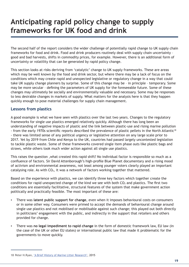# **Anticipating rapid policy change to supply frameworks for UK food and drink**

The second half of the report considers the wider challenge of potentially rapid change to UK supply chain frameworks for food and drink. Food and drink producers routinely deal with supply chain uncertainty – good and bad harvests, shifts in commodity prices, for example. However, there is an additional form of uncertainty or volatility that can be generated by rapid policy change.

This section looks at risks deriving from 'catalytic' change to UK supply frameworks. These are areas which may be well known by the food and drink sector, but where there may be a lack of focus on the conditions which may create rapid and unexpected legislative or regulatory change in a way that could take UK supply change planners by surprise. Some of this change may be – in principle – temporary. Some may be more secular – defining the parameters of UK supply for the foreseeable future. Some of these changes may ultimately be socially and environmentally valuable and necessary. Some may be responses to less desirable changes in markets of supply. What matters for the analysis here is that they happen quickly enough to pose material challenges for supply chain management.

# **Lessons from plastics**

A good example is what we have seen with plastics over the last two years. Changes to the regulatory frameworks for single use plastics emerged relatively quickly. Although there has long been an understanding of negative impacts of plastic and the link between plastic-use and rising marine pollution - from the early 1970s scientific reports described the prevalence of plastic pellets in the North Atlantic<sup>18</sup> - there was limited sense of any political urgency or legislative attention on any large scale prior to 2017. Yet by 2019 from Chile and Kenya to the UK, countries had passed largely uncontested legislation to tackle plastic waste. Some of these frameworks covered single item phase outs like plastic bags and straws, while others took much wider action against all single use plastics.

This raises the question ,what created this rapid shift? No individual factor is responsible so much as a confluence of factors. Sir David Attenborough's high-profile Blue Planet documentary and a rising mood of activism and environmental awareness, not least among younger voters clearly played an important catalysing role. As with  $CO<sub>2</sub>$ , it was a network of factors working together that mattered.

Based on the experience with plastics, we can identify three key factors which together create the conditions for rapid unexpected change of the kind we see with both  $CO<sub>2</sub>$  and plastics. The first two conditions are essentially facilitative, structural features of the system that make government action politically and practically feasible. The most important of these are:

- There was **latent public support for change**, even when it imposes behavioural costs on consumers or in some other way. Consumers were primed to accept the demands of behavioural change around single use plastics and not mobilised or mobilisable against such change; this played out both directly in politicians' engagement with the public, and indirectly in the support that retailers and others provided for change.
- There was **no legal impediment to rapid change** in the form of domestic framework law, EU law (in the case of the UK or other EU states) or international public law that made it problematic for the governments to move quickly.

<sup>18</sup> Peter H.Ryan, 'A Brief History of Marine Litter Research', 2015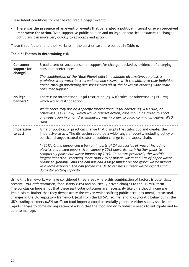These latent conditions for change required a trigger event:

▪ There was **the presence of an event or events that generated a political interest or even perceived imperative for action**. With supportive public opinion and no legal or practical obstacles to change; politicians can move very quickly to advocacy and action.

These three factors, and their variants in the plastics case, are set out in Table 6.

#### **Table 6: Factors in determining risk**

| Consumer<br>support for<br>change? | Broad latent or vocal consumer support for change, backed by evidence of changing<br>consumer preferences.                                                                                                                                                                                                                                                                                                                                                                                                                                  |
|------------------------------------|---------------------------------------------------------------------------------------------------------------------------------------------------------------------------------------------------------------------------------------------------------------------------------------------------------------------------------------------------------------------------------------------------------------------------------------------------------------------------------------------------------------------------------------------|
|                                    | The combination of the 'Blue Planet effect', available alternatives to plastics<br>(stainless steel water bottles and bamboo straws), with the ability to take individual<br>action through purchasing decisions ticked all of the boxes for creating wide-scale<br>consumer support.                                                                                                                                                                                                                                                       |
| No legal<br>barriers?              | There is no international legal restriction (eg WTO rules) or otherwise (eg EU law)<br>which would restrict action.                                                                                                                                                                                                                                                                                                                                                                                                                         |
|                                    | While there may not be a specific international legal barrier (eg WTO rule) or<br>otherwise (eg EU law), which would restrict action, care should be taken to enact<br>any legislation in a non-discriminatory way in order to avoid coming up against WTO<br>rules.                                                                                                                                                                                                                                                                        |
| Imperative<br>to act?              | A major political or practical change that disrupts the status quo and creates the<br>imperative to act. The disruption could be a wide range of events, including policy or<br>political change, natural disaster or sudden change to the supply chain.                                                                                                                                                                                                                                                                                    |
|                                    | In 2017, China announced a ban on imports of 24 categories of waste, including<br>plastics and mixed papers, from January 2018 onwards, with further plans to<br>completely phase out waste imports by 2019. China was previously the world's<br>largest importer - receiving more than 70% of plastic waste and 37% of paper waste<br>produced globally - and the ban has had a large impact on the global waste market.<br>As a large exporter, the ban forced the UK to reassess current waste exports and<br>domestic sorting capacity. |

Using this framework, we have considered three areas where this combination of factors is potentially present – VAT differentiation, food safety (SPS) and politically-driven changes to the UK MFN tariff. The conclusion here is not that these particular outcomes are necessarily likely – although none are implausible. Rather that they demonstrate the way in which shifting public attitudes (meat), structural changes in the UK regulatory framework (exit from the EU SPS regime) and idiosyncratic behaviour in the UK's trading partners (MFN tariffs on food imports) could potentially generate either supply shocks, or rapid changes to domestic regulation of a kind that the food and drink industry needs to anticipate and be able to manage.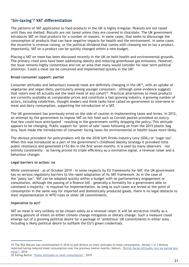# **'Sin-taxing'? VAT differentiation**

The patterns of VAT application to food products in the UK is highly irregular. Peanuts are not taxed until they are shelled. Biscuits are not taxed unless they are covered in chocolate. The UK government introduces VAT on food products for a number of reasons. In some cases, that seeks to discourage the consumption of products that can have negative impacts for health and the environment, in some cases the incentive is revenue raising, or the political dividend that comes with choosing not to tax a product. Importantly, VAT on a product can be quickly changed within a new budget.

Placing a VAT on meat has been discussed recently in the UK on both health and environmental grounds. The primary cited aims have been addressing obesity and reducing greenhouse gas emissions. However, the issue remains highly contentious and not an area that many would consider for near term political attention. Could a meat tax be conceived and implemented quickly in the UK?

#### **Broad consumer support: partial**

Consumer attitudes and behaviours towards meat are definitely changing in the UK19, with an uptake of vegetarian and vegan diets, particularly among younger consumers – although some evidence suggests that voters over 65 actually eat the least meat of any cohort<sup>20</sup>. Practical alternatives to meat products are currently available at comparable prices and constitute a fast-growing industry. A growing number of actors, including celebrities, thought leaders and think tanks have called on government to intervene in meat and dairy consumption, supporting the introduction of a VAT.

The UK government has previously erred on the side of caution in implementing taxes and levies. In 2012, an attempt by the government to impose VAT on hot food such as Cornish pasties provoked an outcry that few could have anticipated – resulting in the government swiftly dropping the policy. This attitude appears to be changing. Public support for 'point of sale' taxes following on from the 2015 plastic bag levy, have made the introduction of consumer facing taxes for environmental or health issues more likely.

The obvious precedent for policymakers will be the 2018 Soft Drinks Industry Levy (SDIL) or 'sugar tax'. When this was introduced as a part of the government's childhood obesity strategy it provoked little public resistance and generated £153.8m in the first seven months. It is seen by many observers – not entirely consistently – as having proved its triple efficiency as a normative signal, a revenue raiser and a behaviour changer.

#### **Legal barriers to action: no**

While constrained – as of October 2019 - in some respects by EU frameworks for VAT, the UK government has no serious regulatory barriers to the rapid adaptation of its VAT framework. As in the case of the 'pasty tax', VAT can be adapted quickly within a budget with no parliamentary engagement or consultation, although the passing of a finance bill – generally a formality for a government able to command a majority - is required for implementation. As long as such taxes are levied at the point of consumption in the same way for imported and domestically produced goods, there is no legal obstacle to their implementation in WTO rules or other UK commitments.

#### **Imperative to act?**

VAT on meat is very unlikely to be chosen solely as a revenue raiser. It will be attractive chiefly as a striking gesture of intent on either climate change mitigation or dietary change. Such a measure could emerge out of a growing political desire for a package of 'ambitious' UK commitments in either area – including a likely political desire to outflank the EU's green credentials.

<sup>19</sup> The BSA Natcen was commissioned in 2016 to poll Britons on their attitudes to meat consumption. Almost 1 in 3 Britons reported having reduced meat consumption over the previous twelve months. Natcen, 'British Social Attitudes: Are we eating less meat?', 2016

<sup>20</sup> Eating Better, 'Public attitudes to meat consumption', 2019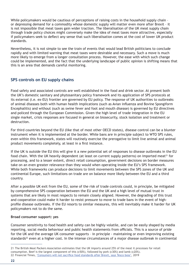While policymakers would be cautious of perceptions of raising costs in the household supply chain or depressing demand for a commodity whose domestic supply will matter even more after Brexit – it is not impossible that meat taxes gain wider traction. The liberalisation of the UK meat supply chain through trade policy choices might conversely make the idea of meat taxes more attractive, especially if policymakers seek to deflect any sense that such liberalisation comes at the cost of lower UK product standards.

Nevertheless, it is not simple to see the train of events that would lead British politicians to conclude rapidly and with limited warning that meat taxes were desirable and necessary. Such a move is much more likely to emerge from a longer consultation process. However, the ease with which such change could be implemented, and the fact that the underlying landscape of public opinion is shifting means that this is an area that demands careful monitoring.

# **SPS controls on EU supply chains**

Food safety and associated controls are well established in the food and drink sector. At present both the UK's domestic sanitary and phytosanitary policy framework and its application of SPS protocols at its external (i.e. ex-EU) frontier are governed by EU policy. The response of UK authorities to outbreaks of animal diseases both with human health implications (such as Avian influenza and Bovine Spongiform Encephalitis) and without (such as swine fever and foot and mouth disease) is governed by EU directives and policed through the European Commission. Given the high level of trade integration in the EU single market, crisis responses are focused in general on biosecurity, stock isolation and treatment or destruction.

For third countries beyond the EU (like that of most other OECD states), disease control can be a blunter instrument when it is implemented at the border. While bans are in principle subject to WTO SPS rules, even within this framework, states will routinely exercise the prerogative to limit live animal and animal product movements completely, at least in a first instance.

If the UK is outside the EU this will give it a new potential set of responses to disease outbreaks in the EU food chain. With the UK heavily dependent (at least on current supply patterns) on imported meat<sup>21</sup> for processing, and to a lesser extent, direct retail consumption, government decisions on border measures take on an even greater relevance than they would when operating inside the EU's SPS framework. While both frameworks can produce decisions to limit movements between the SPS zones of the UK and continental Europe, such limitations on trade are on balance more likely between the EU and a third country.

After a possible UK exit from the EU, some of the risk of trade controls could, in principle, be mitigated by comprehensive SPS cooperation between the EU and the UK and a high level of mutual trust in systems that are likely in most respects to remain closely aligned. However, the degrading of this trust and cooperation could make it harder to resist pressure to move to trade bans in the event of highprofile disease outbreaks. If the EU resorts to similar measures, this will inevitably make it harder for UK policymakers not to do the same.

#### **Broad consumer support: yes**

Consumer sensitivity to food health and safety can be highly volatile, and can be easily shaped by media reporting, social media behaviour and public health statements from officials. This is a source of pride for the UK and the average UK consumer supports – in principle - maintaining or even improving existing standards<sup>22</sup> even at a higher cost. In the intense circumstances of a major disease outbreak in continental

<sup>21</sup> The British Meat Packers Association estimates that the UK imports around 25% of the meat it processes for retail consumption. Beef is the largest component of this (c50%), followed by pork (c30%) and lamb (c20%). 22 Financial Times, 'Consumers will not sacrifice food standards after Brexit, says Tesco boss', 2019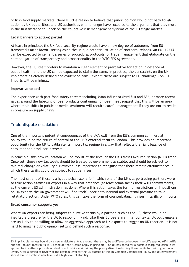or Irish food supply markets, there is little reason to believe that public opinion would not back tough action by UK authorities, and UK authorities will no longer have recourse to the argument that they must in the first instance fall back on the collective risk management systems of the EU single market.

#### **Legal barriers to action: partial**

At least in principle, the UK food security regime would have a new degree of autonomy from EU frameworks after Brexit (setting aside the unique potential situation of Northern Ireland). An EU-UK FTA can be expected to cement a series of procedural protocols for trade management that elaborate on the core obligation of transparency and proportionality in the WTO SPS Agreement.

However, the EU itself prefers to maintain a clear element of prerogative for action in defence of public health, and the UK can be expected to claim the same. In practice, the constraints on the UK implementing clearly defined and evidenced bans – even if these are subject to EU challenge - on EU imports will be minimal.

#### **Imperative to act?**

The experience with past food safety threats including Avian influenza (bird flu) and BSE, or more recent issues around the labelling of beef products containing non-beef meat suggest that this will be an area where rapid shifts in public or media sentiment will require careful management if they are not to result in pressure on supply chains.

# **Trade dispute escalation**

One of the important potential consequences of the UK's exit from the EU's common commercial policy would be the return of control of the UK's external tariff to London. This provides an important opportunity for the UK to calibrate its import tax regime in a way that reflects the right balance of consumer and producer interests.

In principle, this new calibration will be robust at the level of the UK's Most Favoured Nation (MFN) trade. Once set, these new tax levels should be treated by government as stable, and should be subject to minimal change or volatility<sup>23</sup>. However, it is important to recognise that there remain circumstances in which these tariffs could be subject to sudden rises.

The most salient of these is a hypothetical scenario in which one of the UK's large trading partners were to take action against UK exports in a way that breaches (at least prima facie) their WTO commitments, as the current US administration has done. Where this action takes the form of restrictions or impositions on UK exports the UK government will find itself under both internal and external pressure to take retaliatory action. Under WTO rules, this can take the form of counterbalancing rises in tariffs on imports.

#### **Broad consumer support: yes**

Where UK exports are being subject to punitive tariffs by a partner, such as the US, there would be inevitable pressure for the UK to respond in kind. Like their EU peers in similar contexts, UK policymakers are unlikely to be willing to allow an aggressive approach to UK exports to trigger no UK reaction. It is not hard to imagine public opinion settling behind such a response.

<sup>23</sup> In principle, unless bound by a new multilateral trade round, there may be a difference between the UK's applied MFN tariffs and the 'bound' rates in its WTO schedule that it could apply in principle. The UK has opted for a possible sharp reduction in its applied tariffs after a possible no-deal Brexit, while maintaining the prerogative of returning these tariffs to their higher bound levels. After a period of review of the optimal level for the UK outside of the EU Common Commercial Policy, the UK government should aim to establish new levels at a high level of stability.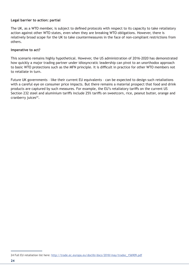#### **Legal barrier to action: partial**

The UK, as a WTO member, is subject to defined protocols with respect to its capacity to take retaliatory action against other WTO states, even when they are breaking WTO obligations. However, there is relatively broad scope for the UK to take countermeasures in the face of non-compliant restrictions from others.

#### **Imperative to act?**

This scenario remains highly hypothetical. However, the US administration of 2016-2020 has demonstrated how quickly a major trading partner under idiosyncratic leadership can pivot to an unorthodox approach to basic WTO protections such as the MFN principle. It is difficult in practice for other WTO members not to retaliate in turn.

Future UK governments – like their current EU equivalents – can be expected to design such retaliations with a careful eye on consumer price impacts. But there remains a material prospect that food and drink products are captured by such measures. For example, the EU's retaliatory tariffs on the current US Section 232 steel and aluminium tariffs include 25% tariffs on sweetcorn, rice, peanut butter, orange and cranberry juices<sup>24</sup>.

<sup>24</sup> Full EU retaliation list here: http://trade.ec.europa.eu/doclib/docs/2018/may/tradoc\_156909.pdf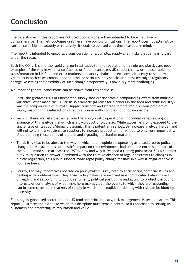# **Conclusion**

The case studies in this report are not predictions. Nor are they intended to be exhaustive or comprehensive. The methodologies used here have obvious limitations. The report does not attempt to rank or rate risks, absolutely or relatively. It needs to be used with these caveats in mind.

The report is intended to encourage consideration of a complex supply chain risks that can easily pass under the radar.

Both the  $CO<sub>2</sub>$  crisis and the rapid change in attitudes to, and regulation of, single use plastics are good examples of the way in which a confluence of factors can stress UK supply chains, or impose rapid transformation in UK food and drink markets and supply chains. In retrospect, it is easy to see how variables in both cases compounded to produce serious supply shocks or almost overnight regulatory change. Assessing the possibility of such change prospectively is obviously more challenging.

A number of general conclusions can be drawn from this analysis:

- First, the greatest risks of unexpected supply shocks arise from a compounding effect from multiple variables. What made the  $CO<sub>2</sub>$  crisis so dramatic (at least for planners in the food and drink industry) was the compounding of climate, supply, transport and storage factors into a serious problem of supply. Mapping this interaction of factors is inherently complex, but not impossible.
- Second, there are risks that arise from the idiosyncratic operation of individual variables. A good example of this is glycerine -which is a by-product of biodiesel. While glycerine is only exposed to the single issue of its supply/demand dynamic, this is potentially serious. An increase in glycerine demand will not send a market signal to suppliers to increase production - or will do so only very imperfectly. Understanding these quirks of the demand signalling mechanism matters.
- Third, it is vital to be alert to the way in which public opinion is operating as a backdrop to policy change. Latent awareness of plastic's impact on the environment had been present in some part of the public mind since at least the 1970s. How and why it reached a tipping point in 2018 is a complex but vital question to answer. Combined with the relative absence of legal constraints to changes in plastic regulation, this public support made rapid policy change feasible in a way it might otherwise not have been.
- Fourth, the way imperatives operate on policymakers is key both to anticipating potential issues and dealing with problems when they arise. Policymakers are involved in a complicated balancing act of reading and responding to public sentiment, political positioning and acting to protect the public interest. As our analysis of wider risks here makes clear, the events to which they are responding can in some cases be in markets of supply in which their toolkit for dealing with risk can be blunt by necessity.

For a highly globalised sector like the UK food and drink industry, risk management is second nature. This report illustrates the extent to which this discipline must remain central to its approach to serving its customers and protecting its reputation and value.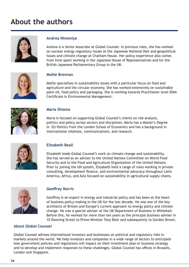# **About the authors**



# **Andrea Ninomiya**

Andrea is a Senior Associate at Global Counsel. In previous roles, she has worked on nuclear energy regulatory issues at the Japanese National Diet and geopolitical issues and climate change at Chatham House. Her policy experience also comes from time spent working in the Japanese House of Representatives and for the British-Japanese Parliamentary Group in the UK.



#### **Mollie Brennan**

Mollie specialises in sustainability issues with a particular focus on food and agriculture and the circular economy. She has worked extensively on sustainable palm oil, food policy and packaging. She is working towards Practitioner level IEMA Certificate in Environmental Management.



# **Maria Shloma**

Maria is focused on supporting Global Counsel's clients on risk analysis, politics and policy across sectors and disciplines. Maria has a Master's Degree in EU Politics from the London School of Economics and has a background in international relations, communications, and research.



# **Elizabeth Beall**

Elizabeth leads Global Counsel's work on climate change and sustainability. She has served as an advisor to the United Nations Committee on World Food Security and to the Food and Agriculture Organization of the United Nations. Prior to joining the UN system, Elizabeth held a range of roles working in private consulting, development finance, and environmental advocacy throughout Latin America, Africa, and Asia focused on sustainability in agricultural supply chains.



#### **Geoffrey Norris**

Geoffrey is an expert in energy and industrial policy and has been at the heart of business policy-making in the UK for the last decade. He was one of the key architects of Britain and Europe's current approach to energy policy and climate change. He was a special adviser at the UK Department of Business in Whitehall. Before this, he worked for more than ten years as the principal business adviser in 10 Downing Street to Prime Minister Tony Blair and subsequently to Gordon Brown.

# **About Global Counsel**

Global Counsel advises international investors and businesses on political and regulatory risks in markets around the world. We help investors and companies in a wide range of sectors to anticipate how government policies and regulations will impact on their investment plan or business strategy and to develop and implement responses to these challenges. Global Counsel has offices in Brussels, London and Singapore.